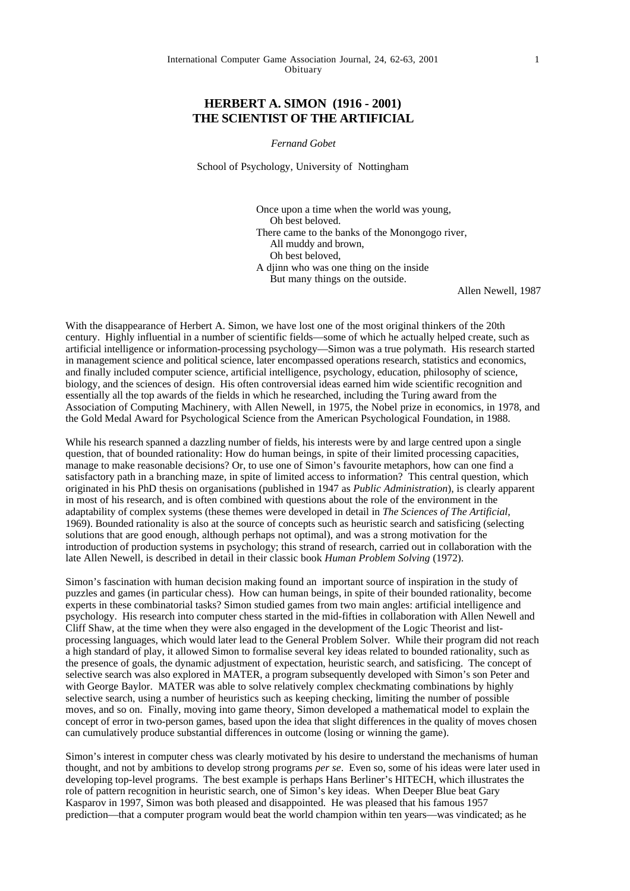## **HERBERT A. SIMON (1916 - 2001) THE SCIENTIST OF THE ARTIFICIAL**

*Fernand Gobet*

School of Psychology, University of Nottingham

Once upon a time when the world was young, Oh best beloved. There came to the banks of the Monongogo river, All muddy and brown, Oh best beloved, A djinn who was one thing on the inside But many things on the outside.

Allen Newell, 1987

With the disappearance of Herbert A. Simon, we have lost one of the most original thinkers of the 20th century. Highly influential in a number of scientific fields—some of which he actually helped create, such as artificial intelligence or information-processing psychology—Simon was a true polymath. His research started in management science and political science, later encompassed operations research, statistics and economics, and finally included computer science, artificial intelligence, psychology, education, philosophy of science, biology, and the sciences of design. His often controversial ideas earned him wide scientific recognition and essentially all the top awards of the fields in which he researched, including the Turing award from the Association of Computing Machinery, with Allen Newell, in 1975, the Nobel prize in economics, in 1978, and the Gold Medal Award for Psychological Science from the American Psychological Foundation, in 1988.

While his research spanned a dazzling number of fields, his interests were by and large centred upon a single question, that of bounded rationality: How do human beings, in spite of their limited processing capacities, manage to make reasonable decisions? Or, to use one of Simon's favourite metaphors, how can one find a satisfactory path in a branching maze, in spite of limited access to information? This central question, which originated in his PhD thesis on organisations (published in 1947 as *Public Administration*), is clearly apparent in most of his research, and is often combined with questions about the role of the environment in the adaptability of complex systems (these themes were developed in detail in *The Sciences of The Artificial,* 1969). Bounded rationality is also at the source of concepts such as heuristic search and satisficing (selecting solutions that are good enough, although perhaps not optimal), and was a strong motivation for the introduction of production systems in psychology; this strand of research, carried out in collaboration with the late Allen Newell, is described in detail in their classic book *Human Problem Solving* (1972).

Simon's fascination with human decision making found an important source of inspiration in the study of puzzles and games (in particular chess). How can human beings, in spite of their bounded rationality, become experts in these combinatorial tasks? Simon studied games from two main angles: artificial intelligence and psychology. His research into computer chess started in the mid-fifties in collaboration with Allen Newell and Cliff Shaw, at the time when they were also engaged in the development of the Logic Theorist and listprocessing languages, which would later lead to the General Problem Solver. While their program did not reach a high standard of play, it allowed Simon to formalise several key ideas related to bounded rationality, such as the presence of goals, the dynamic adjustment of expectation, heuristic search, and satisficing. The concept of selective search was also explored in MATER, a program subsequently developed with Simon's son Peter and with George Baylor. MATER was able to solve relatively complex checkmating combinations by highly selective search, using a number of heuristics such as keeping checking, limiting the number of possible moves, and so on. Finally, moving into game theory, Simon developed a mathematical model to explain the concept of error in two-person games, based upon the idea that slight differences in the quality of moves chosen can cumulatively produce substantial differences in outcome (losing or winning the game).

Simon's interest in computer chess was clearly motivated by his desire to understand the mechanisms of human thought, and not by ambitions to develop strong programs *per se*. Even so, some of his ideas were later used in developing top-level programs. The best example is perhaps Hans Berliner's HITECH, which illustrates the role of pattern recognition in heuristic search, one of Simon's key ideas. When Deeper Blue beat Gary Kasparov in 1997, Simon was both pleased and disappointed. He was pleased that his famous 1957 prediction—that a computer program would beat the world champion within ten years—was vindicated; as he